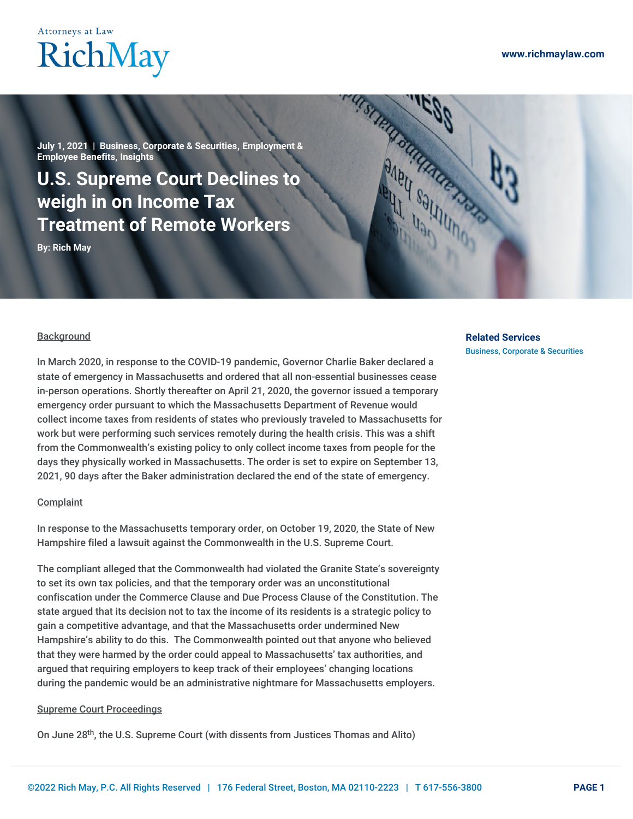## **Attorneys at Law** RichMay

**July 1, 2021 | Business, [Corporate](https://www.richmaylaw.com/category/business-corporate-securities/) & Securities, [Employment](https://www.richmaylaw.com/category/employment-employee-benefits/) & Employee Benefits, [Insights](https://www.richmaylaw.com/category/insights/)**

### **U.S. Supreme Court Declines to weigh in on Income Tax Treatment of Remote Workers**

**By: [Rich](https://www.richmaylaw.com/author/rm-admin/) May**

#### **Background**

In March 2020, in response to the COVID-19 pandemic, Governor Charlie Baker declared a state of emergency in Massachusetts and ordered that all non-essential businesses cease in-person operations. Shortly thereafter on April 21, 2020, the governor issued a temporary emergency order pursuant to which the Massachusetts Department of Revenue would collect income taxes from residents of states who previously traveled to Massachusetts for work but were performing such services remotely during the health crisis. This was a shift from the Commonwealth's existing policy to only collect income taxes from people for the days they physically worked in Massachusetts. The order is set to expire on September 13, 2021, 90 days after the Baker administration declared the end of the state of emergency.

#### **Complaint**

In response to the Massachusetts temporary order, on October 19, 2020, the State of New Hampshire filed a lawsuit against the Commonwealth in the U.S. Supreme Court.

The compliant alleged that the Commonwealth had violated the Granite State's sovereignty to set its own tax policies, and that the temporary order was an unconstitutional confiscation under the Commerce Clause and Due Process Clause of the Constitution. The state argued that its decision not to tax the income of its residents is a strategic policy to gain a competitive advantage, and that the Massachusetts order undermined New Hampshire's ability to do this. The Commonwealth pointed out that anyone who believed that they were harmed by the order could appeal to Massachusetts' tax authorities, and argued that requiring employers to keep track of their employees' changing locations during the pandemic would be an administrative nightmare for Massachusetts employers.

#### Supreme Court Proceedings

On June 28<sup>th</sup>, the U.S. Supreme Court (with dissents from Justices Thomas and Alito)

### **Related Services**

Business, [Corporate](https://www.richmaylaw.com/service/business-corporate-securities/) & Securities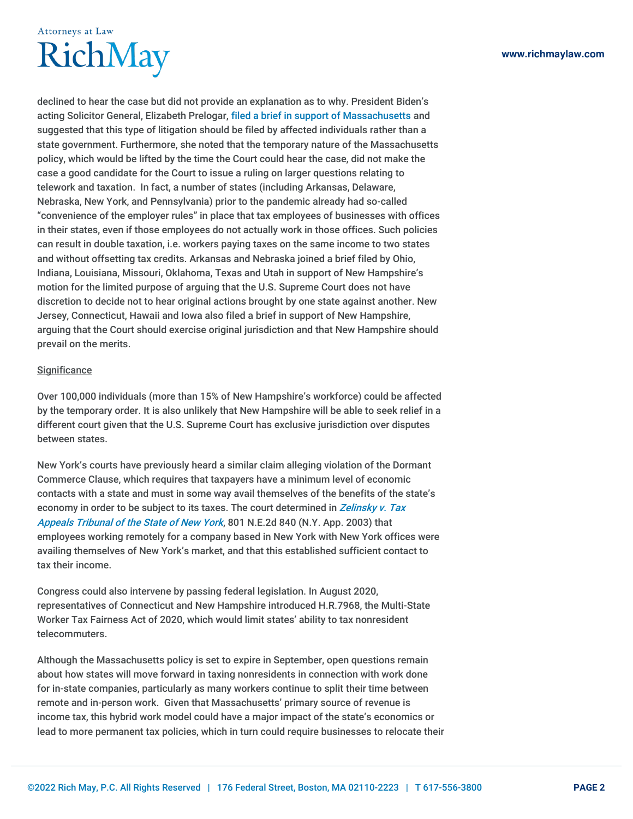# **Attorneys at Law** RichMay

declined to hear the case but did not provide an explanation as to why. President Biden's acting Solicitor General, Elizabeth Prelogar, filed a brief in support of [Massachusetts](https://www.supremecourt.gov/DocketPDF/22/22O154/180138/20210525184546051_154orig NH v. MA cvsg.pdf) and suggested that this type of litigation should be filed by affected individuals rather than a state government. Furthermore, she noted that the temporary nature of the Massachusetts policy, which would be lifted by the time the Court could hear the case, did not make the case a good candidate for the Court to issue a ruling on larger questions relating to telework and taxation. In fact, a number of states (including Arkansas, Delaware, Nebraska, New York, and Pennsylvania) prior to the pandemic already had so-called "convenience of the employer rules" in place that tax employees of businesses with offices in their states, even if those employees do not actually work in those offices. Such policies can result in double taxation, i.e. workers paying taxes on the same income to two states and without offsetting tax credits. Arkansas and Nebraska joined a brief filed by Ohio, Indiana, Louisiana, Missouri, Oklahoma, Texas and Utah in support of New Hampshire's motion for the limited purpose of arguing that the U.S. Supreme Court does not have discretion to decide not to hear original actions brought by one state against another. New Jersey, Connecticut, Hawaii and Iowa also filed a brief in support of New Hampshire, arguing that the Court should exercise original jurisdiction and that New Hampshire should prevail on the merits.

#### **Significance**

Over 100,000 individuals (more than 15% of New Hampshire's workforce) could be affected by the temporary order. It is also unlikely that New Hampshire will be able to seek relief in a different court given that the U.S. Supreme Court has exclusive jurisdiction over disputes between states.

New York's courts have previously heard a similar claim alleging violation of the Dormant Commerce Clause, which requires that taxpayers have a minimum level of economic contacts with a state and must in some way avail themselves of the benefits of the state's economy in order to be subject to its taxes. The court [determined](https://law.justia.com/cases/new-york/court-of-appeals/2003/2003-18774.html#:~:text=Zelinsky v Tax Appeals Tribunal of the State of New York,-Annotate this Case&text=The taxpayer%2C a professor at,at his home in Connecticut.) in Zelinsky v. Tax Appeals Tribunal of the State of New York, 801 N.E.2d 840 (N.Y. App. 2003) that employees working remotely for a company based in New York with New York offices were availing themselves of New York's market, and that this established sufficient contact to tax their income.

Congress could also intervene by passing federal legislation. In August 2020, representatives of Connecticut and New Hampshire introduced H.R.7968, the Multi-State Worker Tax Fairness Act of 2020, which would limit states' ability to tax nonresident telecommuters.

Although the Massachusetts policy is set to expire in September, open questions remain about how states will move forward in taxing nonresidents in connection with work done for in-state companies, particularly as many workers continue to split their time between remote and in-person work. Given that Massachusetts' primary source of revenue is income tax, this hybrid work model could have a major impact of the state's economics or lead to more permanent tax policies, which in turn could require businesses to relocate their